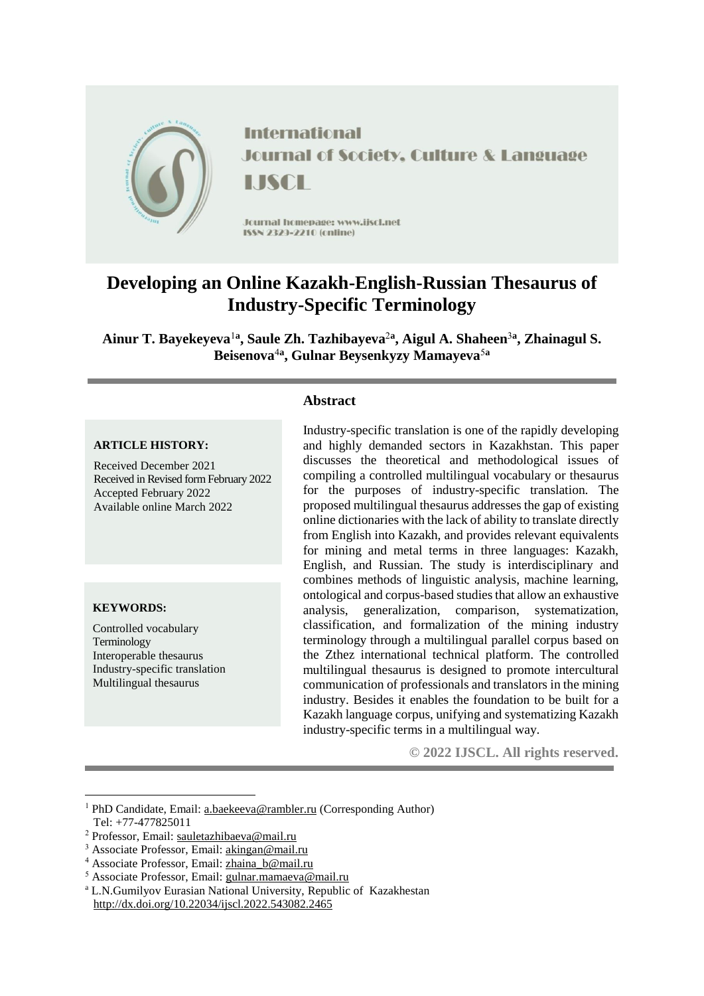

**International Journal of Society, Culture & Language** LISCH

Jcurnal homepage: www.jiscl.net ISSN 2329-2210 (cnline)

# **Developing an Online Kazakh-English-Russian Thesaurus of Industry-Specific Terminology**

**Ainur T. Bayekeyeva**<sup>1</sup>**<sup>a</sup> , Saule Zh. Tazhibayeva**<sup>2</sup>**<sup>a</sup> , Aigul A. Shaheen**<sup>3</sup>**<sup>a</sup> , Zhainagul S. Beisenova**<sup>4</sup>**<sup>a</sup> , Gulnar Beysenkyzy Mamayeva**<sup>5</sup>**<sup>a</sup>**

# **Abstract**

### **ARTICLE HISTORY:**

Received December 2021 Received in Revised form February 2022 Accepted February 2022 Available online March 2022

#### **KEYWORDS:**

<u>.</u>

Controlled vocabulary Terminology Interoperable thesaurus Industry-specific translation Multilingual thesaurus

Industry-specific translation is one of the rapidly developing and highly demanded sectors in Kazakhstan. This paper discusses the theoretical and methodological issues of compiling a controlled multilingual vocabulary or thesaurus for the purposes of industry-specific translation. The proposed multilingual thesaurus addresses the gap of existing online dictionaries with the lack of ability to translate directly from English into Kazakh, and provides relevant equivalents for mining and metal terms in three languages: Kazakh, English, and Russian. The study is interdisciplinary and combines methods of linguistic analysis, machine learning, ontological and corpus-based studies that allow an exhaustive analysis, generalization, comparison, systematization, classification, and formalization of the mining industry terminology through a multilingual parallel corpus based on the Zthez international technical platform. The controlled multilingual thesaurus is designed to promote intercultural communication of professionals and translators in the mining industry. Besides it enables the foundation to be built for a Kazakh language corpus, unifying and systematizing Kazakh industry-specific terms in a multilingual way.

**© 2022 IJSCL. All rights reserved.**

<sup>1</sup> PhD Candidate, Email[: a.baekeeva@rambler.ru](mailto:a.baekeeva@rambler.ru) (Corresponding Author) Tel: +77-477825011

<sup>&</sup>lt;sup>2</sup> Professor, Email: [sauletazhibaeva@mail.ru](mailto:sauletazhibaeva@mail.ru)

<sup>&</sup>lt;sup>3</sup> Associate Professor, Email: [akingan@mail.ru](mailto:akingan@mail.ru)

<sup>&</sup>lt;sup>4</sup> Associate Professor, Email: zhaina b@mail.ru

<sup>5</sup> Associate Professor, Email: [gulnar.mamaeva@mail.ru](mailto:gulnar.mamaeva@mail.ru)

<sup>a</sup> L.N.Gumilyov Eurasian National University, Republic of Kazakhestan http://dx.doi.org/10.22034/ijscl.2022.543082.2465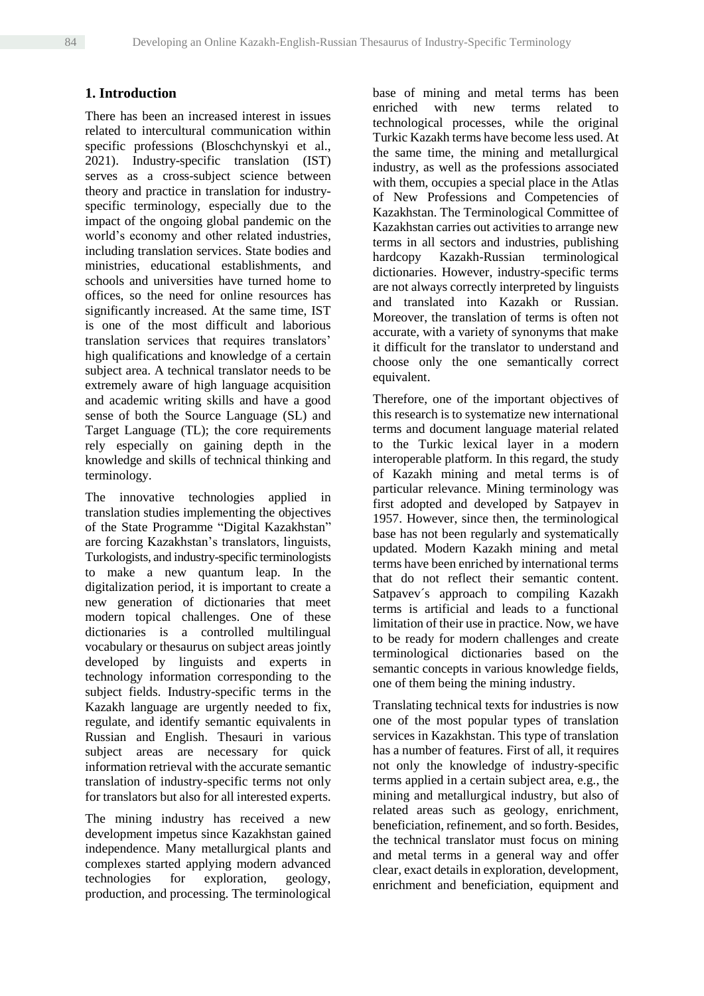# **1. Introduction**

There has been an increased interest in issues related to intercultural communication within specific professions (Bloschchynskyi et al., 2021). Industry-specific translation (IST) serves as a cross-subject science between theory and practice in translation for industryspecific terminology, especially due to the impact of the ongoing global pandemic on the world's economy and other related industries, including translation services. State bodies and ministries, educational establishments, and schools and universities have turned home to offices, so the need for online resources has significantly increased. At the same time, IST is one of the most difficult and laborious translation services that requires translators' high qualifications and knowledge of a certain subject area. A technical translator needs to be extremely aware of high language acquisition and academic writing skills and have a good sense of both the Source Language (SL) and Target Language (TL); the core requirements rely especially on gaining depth in the knowledge and skills of technical thinking and terminology.

The innovative technologies applied in translation studies implementing the objectives of the State Programme "Digital Kazakhstan" are forcing Kazakhstan's translators, linguists, Turkologists, and industry-specific terminologists to make a new quantum leap. In the digitalization period, it is important to create a new generation of dictionaries that meet modern topical challenges. One of these dictionaries is a controlled multilingual vocabulary or thesaurus on subject areas jointly developed by linguists and experts in technology information corresponding to the subject fields. Industry-specific terms in the Kazakh language are urgently needed to fix, regulate, and identify semantic equivalents in Russian and English. Thesauri in various subject areas are necessary for quick information retrieval with the accurate semantic translation of industry-specific terms not only for translators but also for all interested experts.

The mining industry has received a new development impetus since Kazakhstan gained independence. Many metallurgical plants and complexes started applying modern advanced technologies for exploration, geology, production, and processing. The terminological

base of mining and metal terms has been enriched with new terms related to technological processes, while the original Turkic Kazakh terms have become less used. At the same time, the mining and metallurgical industry, as well as the professions associated with them, occupies a special place in the Atlas of New Professions and Competencies of Kazakhstan. The Terminological Committee of Kazakhstan carries out activities to arrange new terms in all sectors and industries, publishing hardcopy Kazakh-Russian terminological dictionaries. However, industry-specific terms are not always correctly interpreted by linguists and translated into Kazakh or Russian. Moreover, the translation of terms is often not accurate, with a variety of synonyms that make it difficult for the translator to understand and choose only the one semantically correct equivalent.

Therefore, one of the important objectives of this research is to systematize new international terms and document language material related to the Turkic lexical layer in a modern interoperable platform. In this regard, the study of Kazakh mining and metal terms is of particular relevance. Mining terminology was first adopted and developed by Satpayev in 1957. However, since then, the terminological base has not been regularly and systematically updated. Modern Kazakh mining and metal terms have been enriched by international terms that do not reflect their semantic content. Satpavev´s approach to compiling Kazakh terms is artificial and leads to a functional limitation of their use in practice. Now, we have to be ready for modern challenges and create terminological dictionaries based on the semantic concepts in various knowledge fields, one of them being the mining industry.

Translating technical texts for industries is now one of the most popular types of translation services in Kazakhstan. This type of translation has a number of features. First of all, it requires not only the knowledge of industry-specific terms applied in a certain subject area, e.g., the mining and metallurgical industry, but also of related areas such as geology, enrichment, beneficiation, refinement, and so forth. Besides, the technical translator must focus on mining and metal terms in a general way and offer clear, exact details in exploration, development, enrichment and beneficiation, equipment and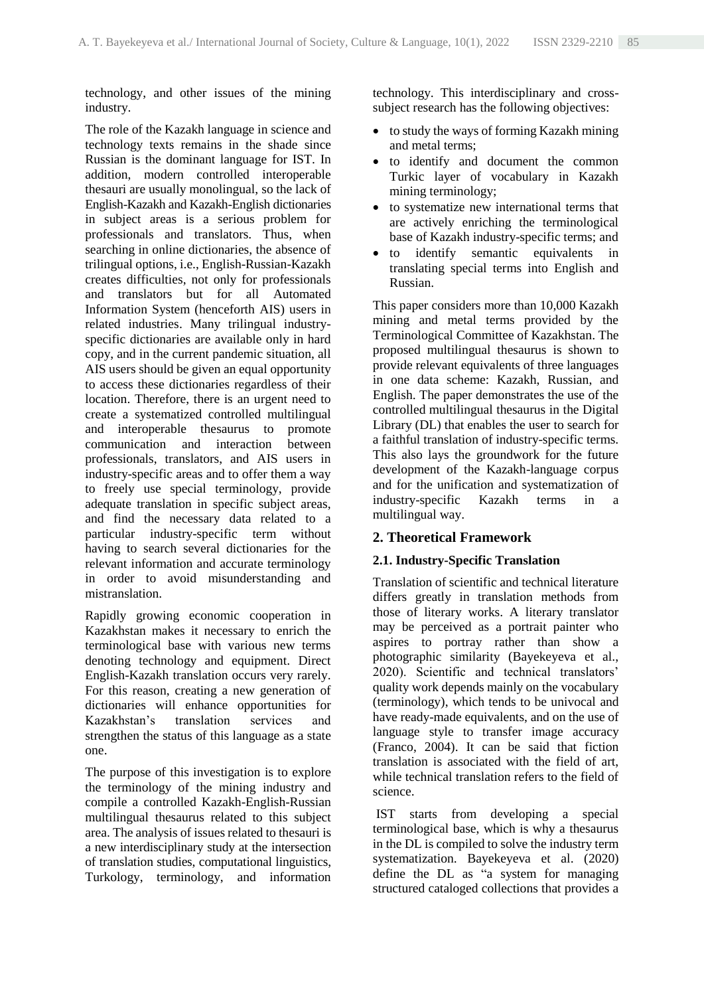technology, and other issues of the mining industry.

The role of the Kazakh language in science and technology texts remains in the shade since Russian is the dominant language for IST. In addition, modern controlled interoperable thesauri are usually monolingual, so the lack of English-Kazakh and Kazakh-English dictionaries in subject areas is a serious problem for professionals and translators. Thus, when searching in online dictionaries, the absence of trilingual options, i.e., English-Russian-Kazakh creates difficulties, not only for professionals and translators but for all Automated Information System (henceforth AIS) users in related industries. Many trilingual industryspecific dictionaries are available only in hard copy, and in the current pandemic situation, all AIS users should be given an equal opportunity to access these dictionaries regardless of their location. Therefore, there is an urgent need to create a systematized controlled multilingual and interoperable thesaurus to promote communication and interaction between professionals, translators, and AIS users in industry-specific areas and to offer them a way to freely use special terminology, provide adequate translation in specific subject areas, and find the necessary data related to a particular industry-specific term without having to search several dictionaries for the relevant information and accurate terminology in order to avoid misunderstanding and mistranslation.

Rapidly growing economic cooperation in Kazakhstan makes it necessary to enrich the terminological base with various new terms denoting technology and equipment. Direct English-Kazakh translation occurs very rarely. For this reason, creating a new generation of dictionaries will enhance opportunities for Kazakhstan's translation services and strengthen the status of this language as a state one.

The purpose of this investigation is to explore the terminology of the mining industry and compile a controlled Kazakh-English-Russian multilingual thesaurus related to this subject area. The analysis of issues related to thesauri is a new interdisciplinary study at the intersection of translation studies, computational linguistics, Turkology, terminology, and information technology. This interdisciplinary and crosssubject research has the following objectives:

- to study the ways of forming Kazakh mining and metal terms;
- to identify and document the common Turkic layer of vocabulary in Kazakh mining terminology;
- to systematize new international terms that are actively enriching the terminological base of Kazakh industry-specific terms; and
- to identify semantic equivalents in translating special terms into English and Russian.

This paper considers more than 10,000 Kazakh mining and metal terms provided by the Terminological Committee of Kazakhstan. The proposed multilingual thesaurus is shown to provide relevant equivalents of three languages in one data scheme: Kazakh, Russian, and English. The paper demonstrates the use of the controlled multilingual thesaurus in the Digital Library (DL) that enables the user to search for a faithful translation of industry-specific terms. This also lays the groundwork for the future development of the Kazakh-language corpus and for the unification and systematization of industry-specific Kazakh terms in a multilingual way.

# **2. Theoretical Framework**

## **2.1. Industry-Specific Translation**

Translation of scientific and technical literature differs greatly in translation methods from those of literary works. A literary translator may be perceived as a portrait painter who aspires to portray rather than show a photographic similarity (Bayekeyeva et al., 2020). Scientific and technical translators' quality work depends mainly on the vocabulary (terminology), which tends to be univocal and have ready-made equivalents, and on the use of language style to transfer image accuracy (Franco, 2004). It can be said that fiction translation is associated with the field of art, while technical translation refers to the field of science.

IST starts from developing a special terminological base, which is why a thesaurus in the DL is compiled to solve the industry term systematization. Bayekeyeva et al. (2020) define the DL as "a system for managing structured cataloged collections that provides a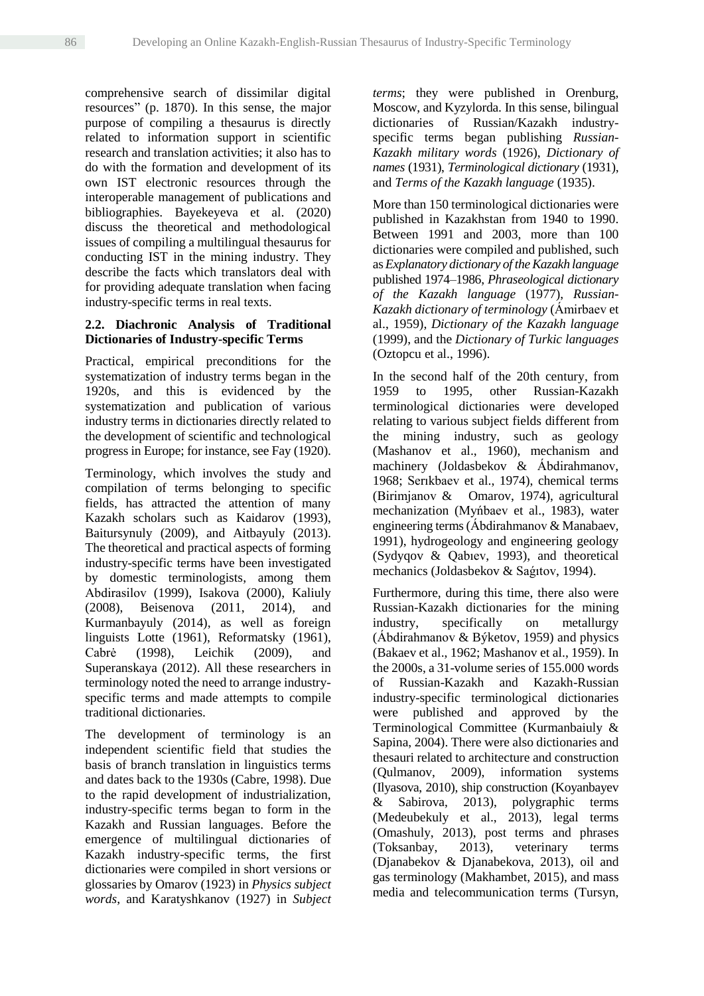comprehensive search of dissimilar digital resources" (p. 1870). In this sense, the major purpose of compiling a thesaurus is directly related to information support in scientific research and translation activities; it also has to do with the formation and development of its own IST electronic resources through the interoperable management of publications and bibliographies. Bayekeyeva et al. (2020) discuss the theoretical and methodological issues of compiling a multilingual thesaurus for conducting IST in the mining industry. They describe the facts which translators deal with for providing adequate translation when facing industry-specific terms in real texts.

## **2.2. Diachronic Analysis of Traditional Dictionaries of Industry-specific Terms**

Practical, empirical preconditions for the systematization of industry terms began in the 1920s, and this is evidenced by the systematization and publication of various industry terms in dictionaries directly related to the development of scientific and technological progress in Europe; for instance, see Fay (1920).

Terminology, which involves the study and compilation of terms belonging to specific fields, has attracted the attention of many Kazakh scholars such as Kaidarov (1993), Baitursynuly (2009), and Aitbayuly (2013). The theoretical and practical aspects of forming industry-specific terms have been investigated by domestic terminologists, among them Abdіrasіlov (1999), Isakova (2000), Kaliuly (2008), Beisenova (2011, 2014), and Kurmanbayuly (2014), as well as foreign linguists Lotte (1961), Reformatsky (1961), Cabrė (1998), Leichik (2009), and Superanskaya (2012). All these researchers in terminology noted the need to arrange industryspecific terms and made attempts to compile traditional dictionaries.

The development of terminology is an independent scientific field that studies the basis of branch translation in linguistics terms and dates back to the 1930s (Cabre, 1998). Due to the rapid development of industrialization, industry-specific terms began to form in the Kazakh and Russian languages. Before the emergence of multilingual dictionaries of Kazakh industry-specific terms, the first dictionaries were compiled in short versions or glossaries by Omarov (1923) in *Physics subject words*, and Karatyshkanov (1927) in *Subject*  *terms*; they were published in Orenburg, Moscow, and Kyzylorda. In this sense, bilingual dictionaries of Russian/Kazakh industryspecific terms began publishing *Russian-Kazakh military words* (1926), *Dictionary of names* (1931), *Terminological dictionary* (1931), and *Terms of the Kazakh language* (1935).

More than 150 terminological dictionaries were published in Kazakhstan from 1940 to 1990. Between 1991 and 2003, more than 100 dictionaries were compiled and published, such as *Explanatory dictionary of the Kazakh language* published 1974–1986, *Phraseological dictionary of the Kazakh language* (1977), *Russian-Kazakh dictionary of terminology* (Ámіrbaev et al., 1959), *Dictionary of the Kazakh language* (1999), and the *Dictionary of Turkic languages* [\(Oztopcu](https://www.routledge.com/search?author=Kurtulus%20Oztopcu) et al., 1996).

In the second half of the 20th century, from 1959 to 1995, other Russian-Kazakh terminological dictionaries were developed relating to various subject fields different from the mining industry, such as geology (Mashanov et al., 1960), mechanism and machinery (Joldasbekov & Ábdіrahmanov, 1968; Serıkbaev et al., 1974), chemical terms (Bіrіmjanov & Omarov, 1974), agricultural mechanization (Myńbaev et al., 1983), water engineering terms(Ábdіrahmanov & Manabaev, 1991), hydrogeology and engineering geology (Sydyqov & Qabıev, 1993), and theoretical mechanics (Joldasbekov & Saǵıtov, 1994).

Furthermore, during this time, there also were Russian-Kazakh dictionaries for the mining industry, specifically on metallurgy (Ábdіrahmanov & Býketov, 1959) and physics (Bakaev et al., 1962; Mashanov et al., 1959). In the 2000s, a 31-volume series of 155.000 words of Russian-Kazakh and Kazakh-Russian industry-specific terminological dictionaries were published and approved by the Terminological Committee (Kurmanbaiuly & Sapina, 2004). There were also dictionaries and thesauri related to architecture and construction (Qulmanov, 2009), information systems (Ilyasova, 2010), ship construction (Koyanbayev & Sabirova, 2013), polygraphic terms (Medeubekuly et al., 2013), legal terms (Omashuly, 2013), post terms and phrases (Toksanbay, 2013), veterinary terms (Djanabekov & Djanabekova, 2013), oil and gas terminology (Makhambet, 2015), and mass media and telecommunication terms (Tursyn,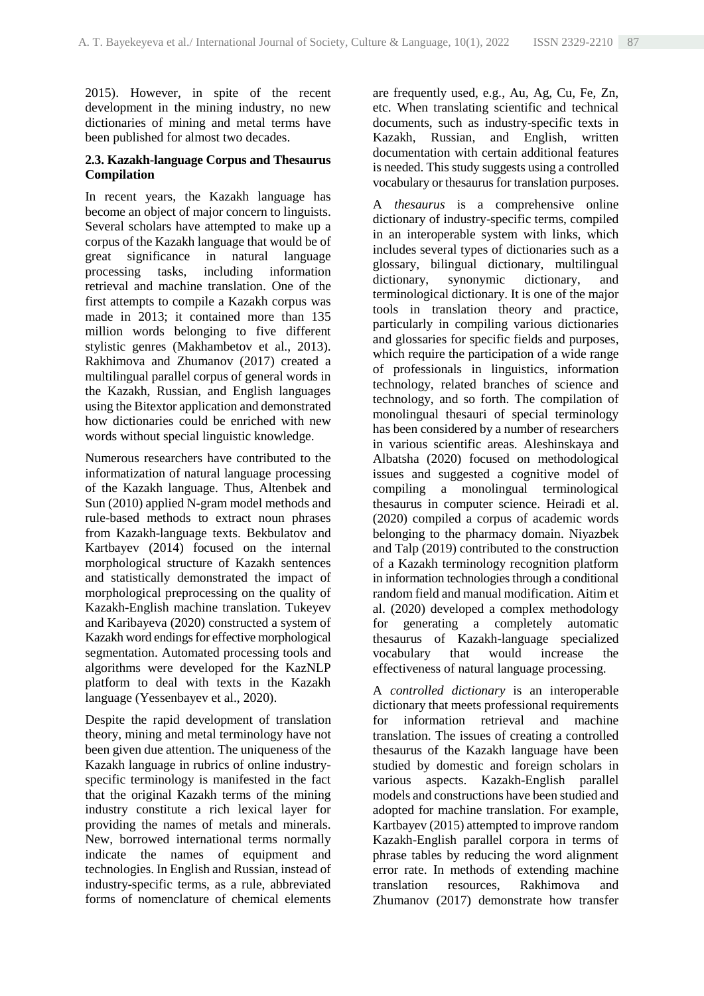2015). However, in spite of the recent development in the mining industry, no new dictionaries of mining and metal terms have been published for almost two decades.

## **2.3. Kazakh-language Corpus and Thesaurus Compilation**

In recent years, the Kazakh language has become an object of major concern to linguists. Several scholars have attempted to make up a corpus of the Kazakh language that would be of great significance in natural language processing tasks, including information retrieval and machine translation. One of the first attempts to compile a Kazakh corpus was made in 2013; it contained more than 135 million words belonging to five different stylistic genres (Makhambetov et al., 2013). Rakhimova and Zhumanov (2017) created a multilingual parallel corpus of general words in the Kazakh, Russian, and English languages using the Bitextor application and demonstrated how dictionaries could be enriched with new words without special linguistic knowledge.

Numerous researchers have contributed to the informatization of natural language processing of the Kazakh language. Thus, Altenbek and Sun (2010) applied N-gram model methods and rule-based methods to extract noun phrases from Kazakh-language texts. Bekbulatov and Kartbayev (2014) focused on the internal morphological structure of Kazakh sentences and statistically demonstrated the impact of morphological preprocessing on the quality of Kazakh-English machine translation. Tukeyev and Karibayeva (2020) constructed a system of Kazakh word endings for effective morphological segmentation. Automated processing tools and algorithms were developed for the KazNLP platform to deal with texts in the Kazakh language (Yessenbayev et al., 2020).

Despite the rapid development of translation theory, mining and metal terminology have not been given due attention. The uniqueness of the Kazakh language in rubrics of online industryspecific terminology is manifested in the fact that the original Kazakh terms of the mining industry constitute a rich lexical layer for providing the names of metals and minerals. New, borrowed international terms normally indicate the names of equipment and technologies. In English and Russian, instead of industry-specific terms, as a rule, abbreviated forms of nomenclature of chemical elements

are frequently used, e.g., Au, Ag, Cu, Fe, Zn, etc. When translating scientific and technical documents, such as industry-specific texts in Kazakh, Russian, and English, written documentation with certain additional features is needed. This study suggests using a controlled vocabulary or thesaurus for translation purposes.

A *thesaurus* is a comprehensive online dictionary of industry-specific terms, compiled in an interoperable system with links, which includes several types of dictionaries such as a glossary, bilingual dictionary, multilingual dictionary, synonymic dictionary, and terminological dictionary. It is one of the major tools in translation theory and practice, particularly in compiling various dictionaries and glossaries for specific fields and purposes, which require the participation of a wide range of professionals in linguistics, information technology, related branches of science and technology, and so forth. The compilation of monolingual thesauri of special terminology has been considered by a number of researchers in various scientific areas. Aleshinskaya and Albatsha (2020) focused on methodological issues and suggested a cognitive model of compiling a monolingual terminological thesaurus in computer science. Heiradi et al. (2020) compiled a corpus of academic words belonging to the pharmacy domain. Niyazbek and Talp (2019) contributed to the construction of a Kazakh terminology recognition platform in information technologies through a conditional random field and manual modification. Aitim et al. (2020) developed a complex methodology for generating a completely automatic thesaurus of Kazakh-language specialized vocabulary that would increase the effectiveness of natural language processing.

A *controlled dictionary* is an interoperable dictionary that meets professional requirements for information retrieval and machine translation. The issues of creating a controlled thesaurus of the Kazakh language have been studied by domestic and foreign scholars in various aspects. Kazakh-English parallel models and constructions have been studied and adopted for machine translation. For example, Kartbayev (2015) attempted to improve random Kazakh-English parallel corpora in terms of phrase tables by reducing the word alignment error rate. In methods of extending machine translation resources, Rakhimova and Zhumanov (2017) demonstrate how transfer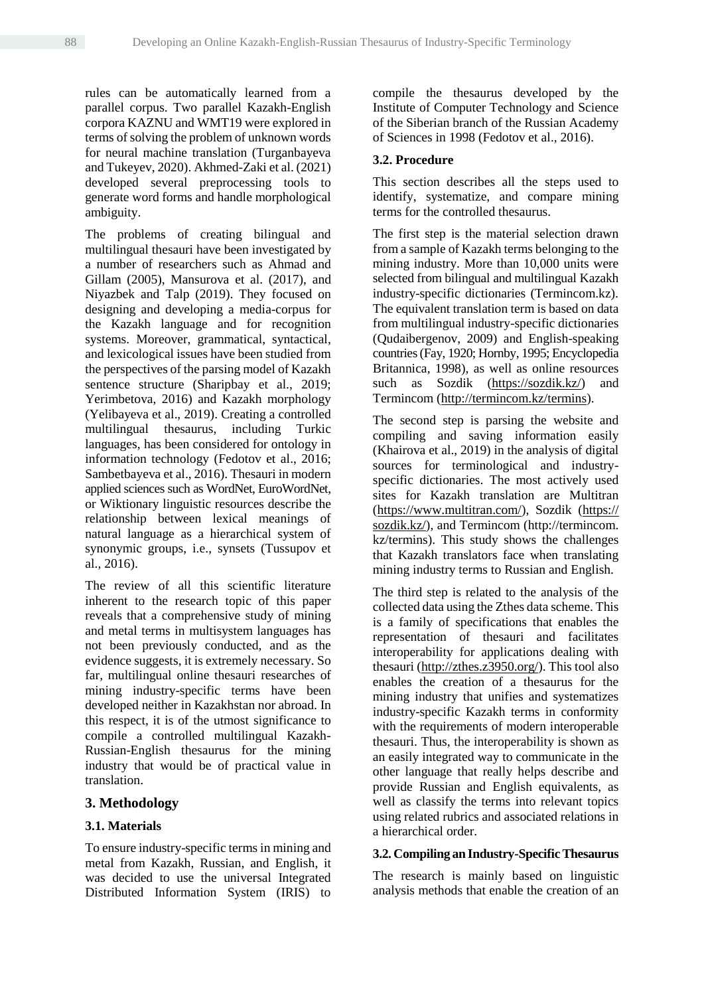rules can be automatically learned from a parallel corpus. Two parallel Kazakh-English corpora KAZNU and WMT19 were explored in terms of solving the problem of unknown words for neural machine translation (Turganbayeva and Tukeyev, 2020). Akhmed-Zaki et al. (2021) developed several preprocessing tools to generate word forms and handle morphological ambiguity.

The problems of creating bilingual and multilingual thesauri have been investigated by a number of researchers such as Ahmad and Gillam (2005), Mansurova et al. (2017), and Niyazbek and Talp (2019). They focused on designing and developing a media-corpus for the Kazakh language and for recognition systems. Moreover, grammatical, syntactical, and lexicological issues have been studied from the perspectives of the parsing model of Kazakh sentence structure (Sharipbay et al., 2019; Yerimbetova, 2016) and Kazakh morphology (Yelibayeva et al., 2019). Creating a controlled multilingual thesaurus, including Turkic languages, has been considered for ontology in information technology (Fedotov et al., 2016; Sambetbayeva et al., 2016). Thesauri in modern applied sciences such as WordNet, EuroWordNet, or Wiktionary linguistic resources describe the relationship between lexical meanings of natural language as a hierarchical system of synonymic groups, i.e., synsets (Tussupov et al., 2016).

The review of all this scientific literature inherent to the research topic of this paper reveals that a comprehensive study of mining and metal terms in multisystem languages has not been previously conducted, and as the evidence suggests, it is extremely necessary. So far, multilingual online thesauri researches of mining industry-specific terms have been developed neither in Kazakhstan nor abroad. In this respect, it is of the utmost significance to compile a controlled multilingual Kazakh-Russian-English thesaurus for the mining industry that would be of practical value in translation.

## **3. Methodology**

#### **3.1. Materials**

To ensure industry-specific terms in mining and metal from Kazakh, Russian, and English, it was decided to use the universal Integrated Distributed Information System (IRIS) to

compile the thesaurus developed by the Institute of Computer Technology and Science of the [Siberian branch of the Russian Academy](https://www.multitran.com/m.exe?s=Siberian%20Branch%20of%20the%20Russian%20Academy%20of%20Sciences&l1=1&l2=2)  [of Sciences](https://www.multitran.com/m.exe?s=Siberian%20Branch%20of%20the%20Russian%20Academy%20of%20Sciences&l1=1&l2=2) in 1998 (Fedotov et al., 2016).

#### **3.2. Procedure**

This section describes all the steps used to identify, systematize, and compare mining terms for the controlled thesaurus.

The first step is the material selection drawn from a sample of Kazakh terms belonging to the mining industry. More than 10,000 units were selected from bilingual and multilingual Kazakh industry-specific dictionaries (Termincom.kz). The equivalent translation term is based on data from multilingual industry-specific dictionaries (Qudaibergenov, 2009) and English-speaking countries (Fay, 1920; Hornby, 1995; Encyclopedia Britannica, 1998), as well as online resources such as Sozdik (https://sozdik.kz/) and Termincom [\(http://termincom.kz/termins\)](http://termincom.kz/termins).

The second step is parsing the website and compiling and saving information easily (Khairova et al., 2019) in the analysis of digital sources for terminological and industryspecific dictionaries. The most actively used sites for Kazakh translation are Multitran (https://www.multitran.com/), Sozdik (https:// sozdik.kz/), and Termincom (http://termincom. kz/termins). This study shows the challenges that Kazakh translators face when translating mining industry terms to Russian and English.

The third step is related to the analysis of the collected data using the Zthes data scheme. This is a family of specifications that enables the representation of thesauri and facilitates interoperability for applications dealing with thesauri [\(http://zthes.z3950.org/\)](http://zthes.z3950.org/). This tool also enables the creation of a thesaurus for the mining industry that unifies and systematizes industry-specific Kazakh terms in conformity with the requirements of modern interoperable thesauri. Thus, the interoperability is shown as an easily integrated way to communicate in the other language that really helps describe and provide Russian and English equivalents, as well as classify the terms into relevant topics using related rubrics and associated relations in a hierarchical order.

#### **3.2. Compiling an Industry-Specific Thesaurus**

The research is mainly based on linguistic analysis methods that enable the creation of an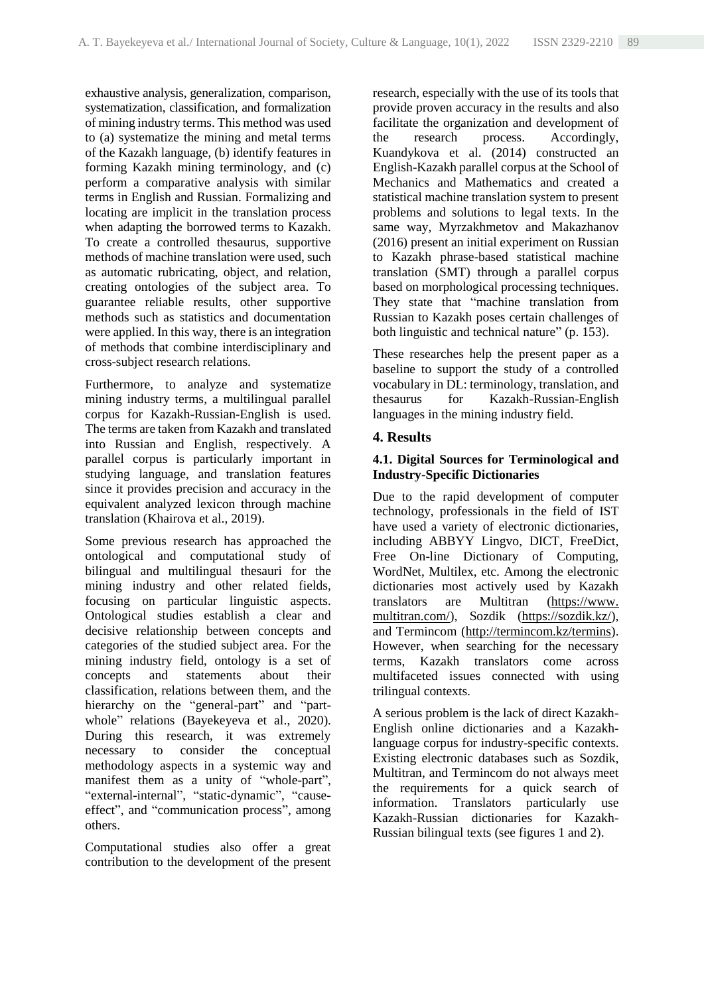exhaustive analysis, generalization, comparison, systematization, classification, and formalization of mining industry terms. This method was used to (a) systematize the mining and metal terms of the Kazakh language, (b) identify features in forming Kazakh mining terminology, and (c) perform a comparative analysis with similar terms in English and Russian. Formalizing and locating are implicit in the translation process when adapting the borrowed terms to Kazakh. To create a controlled thesaurus, supportive methods of machine translation were used, such as automatic rubricating, object, and relation, creating ontologies of the subject area. To guarantee reliable results, other supportive methods such as statistics and documentation were applied. In this way, there is an integration of methods that combine interdisciplinary and cross-subject research relations.

Furthermore, to analyze and systematize mining industry terms, a multilingual parallel corpus for Kazakh-Russian-English is used. The terms are taken from Kazakh and translated into Russian and English, respectively. A parallel corpus is particularly important in studying language, and translation features since it provides precision and accuracy in the equivalent analyzed lexicon through machine translation (Khairova et al., 2019).

Some previous research has approached the ontological and computational study of bilingual and multilingual thesauri for the mining industry and other related fields, focusing on particular linguistic aspects. Ontological studies establish a clear and decisive relationship between concepts and categories of the studied subject area. For the mining industry field, ontology is a set of concepts and statements about their classification, relations between them, and the hierarchy on the "general-part" and "partwhole" relations (Bayekeyeva et al., 2020). During this research, it was extremely necessary to consider the conceptual methodology aspects in a systemic way and manifest them as a unity of "whole-part", "external-internal", "static-dynamic", "causeeffect", and "communication process", among others.

Computational studies also offer a great contribution to the development of the present

research, especially with the use of its tools that provide proven accuracy in the results and also facilitate the organization and development of the research process. Accordingly, Kuandykova et al. (2014) constructed an English-Kazakh parallel corpus at the School of Mechanics and Mathematics and created a statistical machine translation system to present problems and solutions to legal texts. In the same way, Myrzakhmetov and Makazhanov (2016) present an initial experiment on Russian to Kazakh phrase-based statistical machine translation (SMT) through a parallel corpus based on morphological processing techniques. They state that "machine translation from Russian to Kazakh poses certain challenges of both linguistic and technical nature" (p. 153).

These researches help the present paper as a baseline to support the study of a controlled vocabulary in DL: terminology, translation, and thesaurus for Kazakh-Russian-English languages in the mining industry field.

# **4. Results**

# **4.1. Digital Sources for Terminological and Industry-Specific Dictionaries**

Due to the rapid development of computer technology, professionals in the field of IST have used a variety of electronic dictionaries, including ABBYY Lingvo, DICT, FreeDict, Free On-line Dictionary of Computing, WordNet, Multilex, etc. Among the electronic dictionaries most actively used by Kazakh translators are Multitran (https://www. multitran.com/), Sozdik (https://sozdik.kz/), and Termincom (http://termincom.kz/termins). However, when searching for the necessary terms, Kazakh translators come across multifaceted issues connected with using trilingual contexts.

A serious problem is the lack of direct Kazakh-English online dictionaries and a Kazakhlanguage corpus for industry-specific contexts. Existing electronic databases such as Sozdik, Multitran, and Termincom do not always meet the requirements for a quick search of information. Translators particularly use Kazakh-Russian dictionaries for Kazakh-Russian bilingual texts (see figures 1 and 2).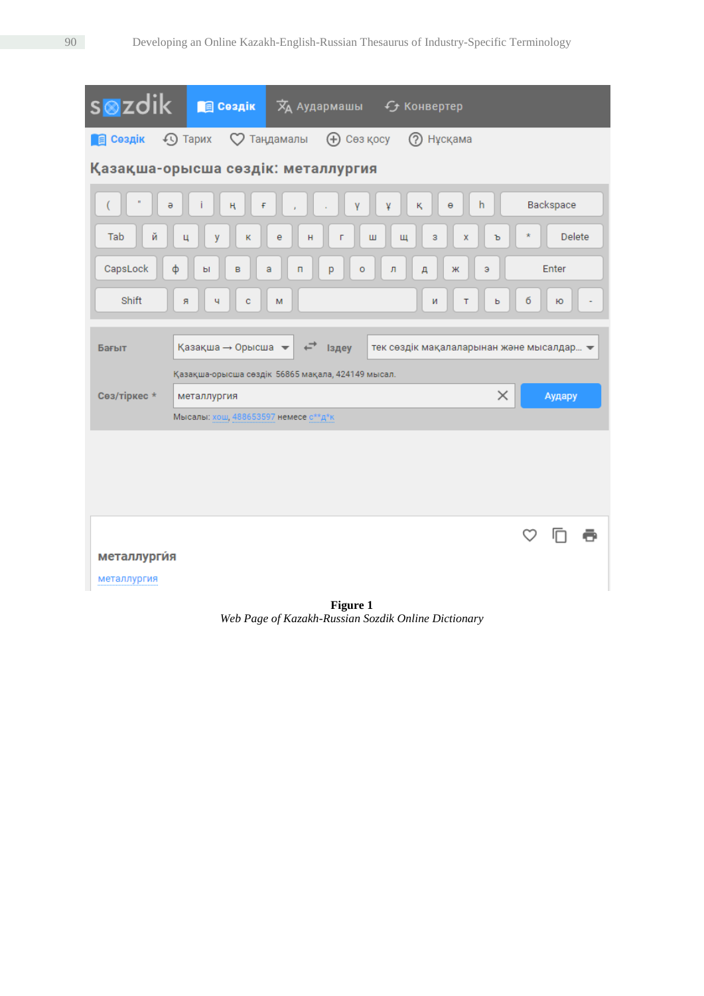| s⊗zdik<br><b>В Сездік</b><br>$\overline{X}_{A}$ Аудармашы $\overline{Y}_{C}$ Конвертер                         |                  |  |  |  |  |  |  |
|----------------------------------------------------------------------------------------------------------------|------------------|--|--|--|--|--|--|
| 4 Тарих <b>С</b> Таңдамалы (+) Сөз қосу<br>(?) Нұсқама<br><b>В</b> Сездік                                      |                  |  |  |  |  |  |  |
| Қазақша-орысша сөздік: металлургия                                                                             |                  |  |  |  |  |  |  |
| h<br>Θ<br>ə<br>¥<br>ĸ.<br>ң<br>F                                                                               | Backspace        |  |  |  |  |  |  |
| Tab<br>й<br>e<br>3<br>Ц<br>y<br>K<br>н<br>Ш<br>Щ<br>X<br>г                                                     | Delete<br>×<br>ъ |  |  |  |  |  |  |
| CapsLock<br>ф<br>a<br>л<br>B<br>п<br>p<br>o<br>Д<br>Ж<br>Э<br>ы                                                | Enter            |  |  |  |  |  |  |
| Shift<br>Я<br>Ч<br>c<br>т<br>м<br>N                                                                            | б<br>ю<br>Ъ      |  |  |  |  |  |  |
| Қазақша → Орысша<br>тек сөздік мақалаларынан және мысалдар $\blacktriangleright$<br><b>Іздеу</b><br>Бағыт<br>← |                  |  |  |  |  |  |  |
| Қазақша-орысша сөздік 56865 мақала, 424149 мысал.<br>Сөз/тіркес *<br>металлургия                               | ×<br>Аудару      |  |  |  |  |  |  |
| Мысалы: хош, 488653597 немесе с**д*к                                                                           |                  |  |  |  |  |  |  |
|                                                                                                                |                  |  |  |  |  |  |  |
| металлургия                                                                                                    | ♡                |  |  |  |  |  |  |
| металлургия                                                                                                    |                  |  |  |  |  |  |  |
| Figure 1                                                                                                       |                  |  |  |  |  |  |  |

*Web Page of Kazakh-Russian Sozdik Online Dictionary*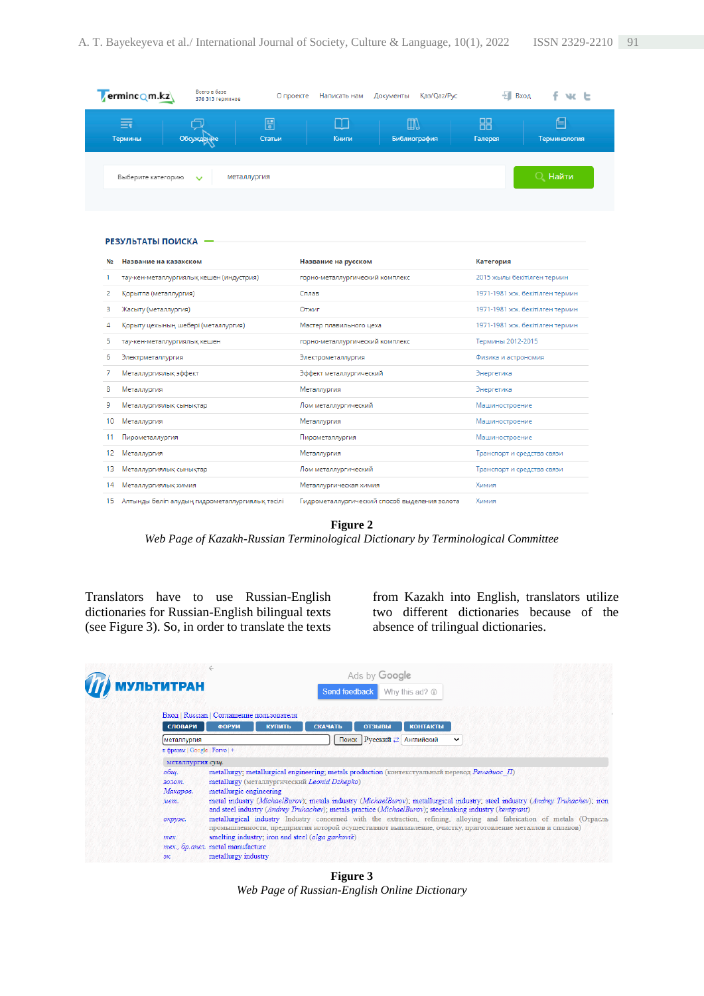| erminc Qm.kz       | Всего в базе<br>376 515 терминов | О проекте   | Написать нам    | Қаз/Qaz/Pyc<br>Документы | $\frac{1}{2}$ Вход   | fwt               |
|--------------------|----------------------------------|-------------|-----------------|--------------------------|----------------------|-------------------|
| 言<br>Термины       | Обсуждение                       | 圖<br>Статьи | $\Box$<br>Книги | ▥<br>Библиография        | 88<br><b>Галерея</b> | ⊫<br>Терминология |
| Выберите категорию | металлургия<br>$\checkmark$      |             |                 |                          |                      | O<br>Найти        |
| РЕЗУЛЬТАТЫ ПОИСКА  |                                  |             |                 |                          |                      |                   |

| No  | Название на казахском<br>Название на русском    |                                               | Категория                       |  |
|-----|-------------------------------------------------|-----------------------------------------------|---------------------------------|--|
|     | тау-кен-металлургиялық кешен (индустрия)        | горно-металлургический комплекс               | 2015 жылы бекітілген термин     |  |
| 2   | Корытпа (металлургия)                           | Сплав                                         | 1971-1981 жж. бекітілген термин |  |
| 3   | Жасыту (металлургия)                            | Отжиг                                         | 1971-1981 жж. бекітілген термин |  |
|     | Қорыту цехының шебері (металлургия)             | Мастер плавильного цеха                       | 1971-1981 жж. бекітілген термин |  |
| 5   | тау-кен-металлургиялық кешен                    | горно-металлургический комплекс               | Термины 2012-2015               |  |
| 6   | Электрметаллургия                               | Электрометаллургия                            | Физика и астрономия             |  |
|     | Металлургиялық эффект                           | Эффект металлургический                       | Энергетика                      |  |
| 8   | Металлургия                                     | Металлургия                                   | Энергетика                      |  |
| 9   | Металлургиялық сынықтар                         | Лом металлургический                          | Машиностроение                  |  |
| 10  | Металлургия                                     | Металлургия                                   | Машиностроение                  |  |
|     | Пирометаллургия                                 | Пирометаллургия                               | Машиностроение                  |  |
| 12. | Металлургия                                     | Металлургия                                   | Транспорт и средства связи      |  |
| 13. | Металлургиялық сынықтар                         | Лом металлургический                          | Транспорт и средства связи      |  |
| 14  | Металлургиялык химия                            | Металлургическая химия                        | Химия                           |  |
| 15. | Алтынды бөліп алудың гидрометаллургиялық тәсілі | Гидрометаллургический способ выделения золота | Химия                           |  |

**Figure 2**

*Web Page of Kazakh-Russian Terminological Dictionary by Terminological Committee*

Translators have to use Russian-English dictionaries for Russian-English bilingual texts (see Figure 3). So, in order to translate the texts from Kazakh into English, translators utilize two different dictionaries because of the absence of trilingual dictionaries.



**Figure 3** *Web Page of Russian-English Online Dictionary*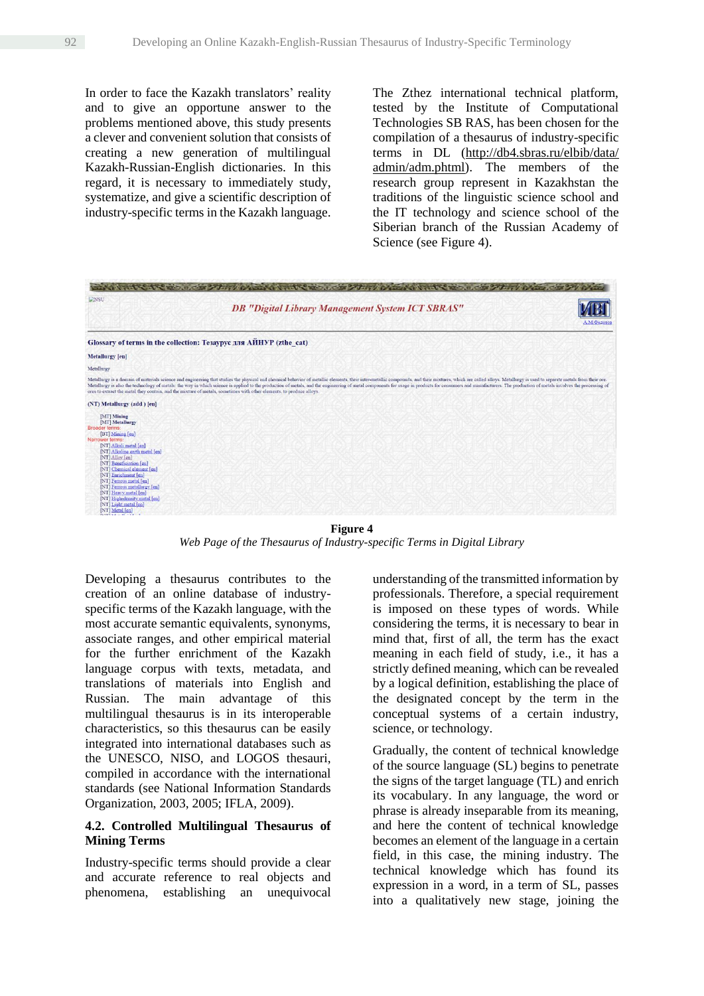In order to face the Kazakh translators' reality and to give an opportune answer to the problems mentioned above, this study presents a clever and convenient solution that consists of creating a new generation of multilingual Kazakh-Russian-English dictionaries. In this regard, it is necessary to immediately study, systematize, and give a scientific description of industry-specific terms in the Kazakh language. The Zthez international technical platform, tested by the Institute of Computational Technologies SB RAS, has been chosen for the compilation of a thesaurus of industry-specific terms in DL (http://db4.sbras.ru/elbib/data/ admin/adm.phtml). The members of the research group represent in Kazakhstan the traditions of the linguistic science school and the IT technology and science school of the Siberian branch of the Russian Academy of Science (see Figure 4).



*Web Page of the Thesaurus of Industry-specific Terms in Digital Library*

Developing a thesaurus contributes to the creation of an online database of industryspecific terms of the Kazakh language, with the most accurate semantic equivalents, synonyms, associate ranges, and other empirical material for the further enrichment of the Kazakh language corpus with texts, metadata, and translations of materials into English and Russian. The main advantage of this multilingual thesaurus is in its interoperable characteristics, so this thesaurus can be easily integrated into international databases such as the UNESCO, NISO, and LOGOS thesauri, compiled in accordance with the international standards (see National Information Standards Organization, 2003, 2005; IFLA, 2009).

# **4.2. Controlled Multilingual Thesaurus of Mining Terms**

Industry-specific terms should provide a clear and accurate reference to real objects and phenomena, establishing an unequivocal

understanding of the transmitted information by professionals. Therefore, a special requirement is imposed on these types of words. While considering the terms, it is necessary to bear in mind that, first of all, the term has the exact meaning in each field of study, i.e., it has a strictly defined meaning, which can be revealed by a logical definition, establishing the place of the designated concept by the term in the conceptual systems of a certain industry, science, or technology.

Gradually, the content of technical knowledge of the source language (SL) begins to penetrate the signs of the target language (TL) and enrich its vocabulary. In any language, the word or phrase is already inseparable from its meaning, and here the content of technical knowledge becomes an element of the language in a certain field, in this case, the mining industry. The technical knowledge which has found its expression in a word, in a term of SL, passes into a qualitatively new stage, joining the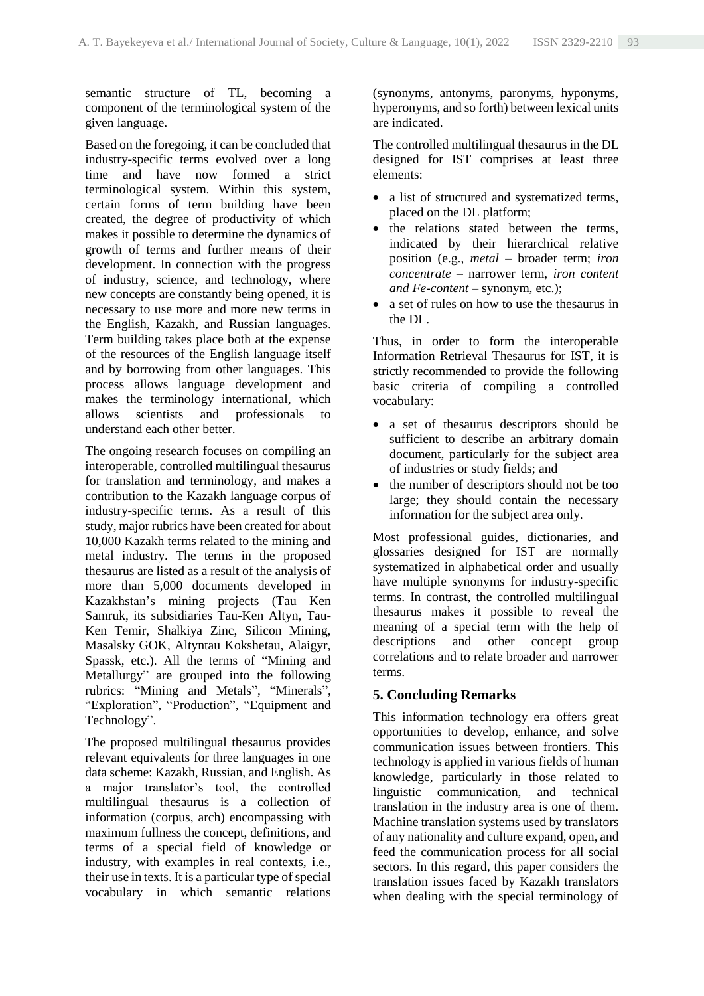semantic structure of TL, becoming a component of the terminological system of the given language.

Based on the foregoing, it can be concluded that industry-specific terms evolved over a long time and have now formed a strict terminological system. Within this system, certain forms of term building have been created, the degree of productivity of which makes it possible to determine the dynamics of growth of terms and further means of their development. In connection with the progress of industry, science, and technology, where new concepts are constantly being opened, it is necessary to use more and more new terms in the English, Kazakh, and Russian languages. Term building takes place both at the expense of the resources of the English language itself and by borrowing from other languages. This process allows language development and makes the terminology international, which allows scientists and professionals to understand each other better.

The ongoing research focuses on compiling an interoperable, controlled multilingual thesaurus for translation and terminology, and makes a contribution to the Kazakh language corpus of industry-specific terms. As a result of this study, major rubrics have been created for about 10,000 Kazakh terms related to the mining and metal industry. The terms in the proposed thesaurus are listed as a result of the analysis of more than 5,000 documents developed in Kazakhstan's mining projects (Tau Ken Samruk, its subsidiaries Tau-Ken Altyn, Tau-Ken Temir, Shalkiya Zinc, Silicon Mining, Masalsky GOK, Altyntau Kokshetau, Alaigyr, Spassk, etc.). All the terms of "Mining and Metallurgy" are grouped into the following rubrics: "Mining and Metals", "Minerals", "Exploration", "Production", "Equipment and Technology".

The proposed multilingual thesaurus provides relevant equivalents for three languages in one data scheme: Kazakh, Russian, and English. As a major translator's tool, the controlled multilingual thesaurus is a collection of information (corpus, arch) encompassing with maximum fullness the concept, definitions, and terms of a special field of knowledge or industry, with examples in real contexts, i.e., their use in texts. It is a particular type of special vocabulary in which semantic relations (synonyms, antonyms, paronyms, hyponyms, hyperonyms, and so forth) between lexical units are indicated.

The controlled multilingual thesaurus in the DL designed for IST comprises at least three elements:

- a list of structured and systematized terms, placed on the DL platform;
- the relations stated between the terms, indicated by their hierarchical relative position (e.g., *metal* – broader term; *iron concentrate* – narrower term, *iron content and Fe-content* – synonym, etc.);
- a set of rules on how to use the thesaurus in the DL.

Thus, in order to form the interoperable Information Retrieval Thesaurus for IST, it is strictly recommended to provide the following basic criteria of compiling a controlled vocabulary:

- a set of thesaurus descriptors should be sufficient to describe an arbitrary domain document, particularly for the subject area of industries or study fields; and
- the number of descriptors should not be too large; they should contain the necessary information for the subject area only.

Most professional guides, dictionaries, and glossaries designed for IST are normally systematized in alphabetical order and usually have multiple synonyms for industry-specific terms. In contrast, the controlled multilingual thesaurus makes it possible to reveal the meaning of a special term with the help of descriptions and other concept group correlations and to relate broader and narrower terms.

# **5. Concluding Remarks**

This information technology era offers great opportunities to develop, enhance, and solve communication issues between frontiers. This technology is applied in various fields of human knowledge, particularly in those related to linguistic communication, and technical translation in the industry area is one of them. Machine translation systems used by translators of any nationality and culture expand, open, and feed the communication process for all social sectors. In this regard, this paper considers the translation issues faced by Kazakh translators when dealing with the special terminology of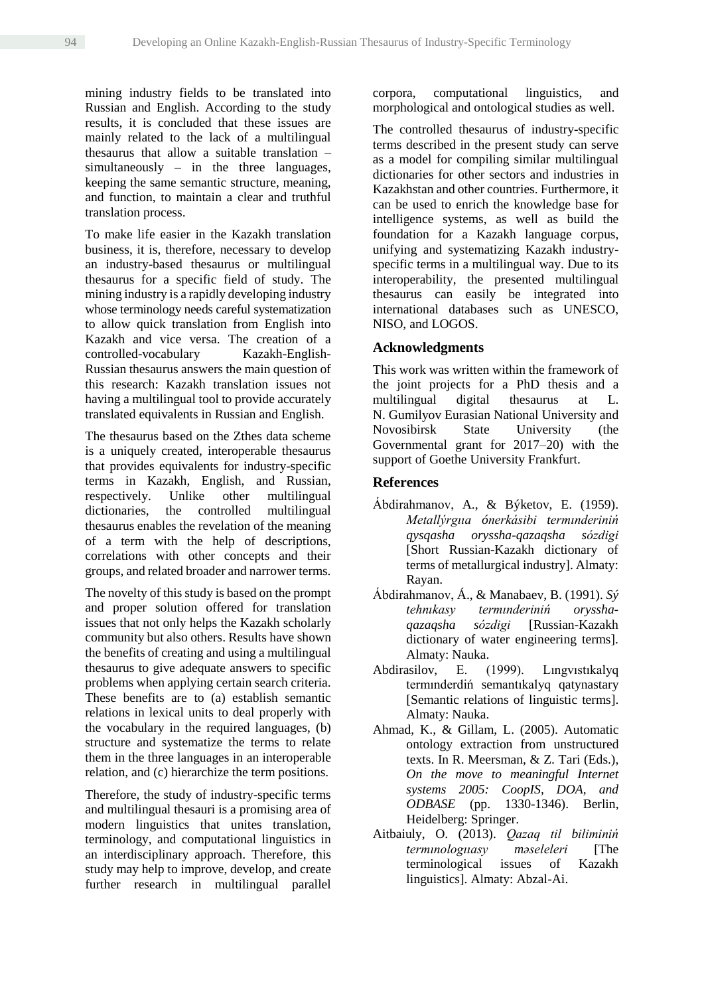mining industry fields to be translated into Russian and English. According to the study results, it is concluded that these issues are mainly related to the lack of a multilingual thesaurus that allow a suitable translation – simultaneously – in the three languages, keeping the same semantic structure, meaning, and function, to maintain a clear and truthful translation process.

To make life easier in the Kazakh translation business, it is, therefore, necessary to develop an industry-based thesaurus or multilingual thesaurus for a specific field of study. The mining industry is a rapidly developing industry whose terminology needs careful systematization to allow quick translation from English into Kazakh and vice versa. The creation of a controlled-vocabulary Kazakh-English-Russian thesaurus answers the main question of this research: Kazakh translation issues not having a multilingual tool to provide accurately translated equivalents in Russian and English.

The thesaurus based on the Zthes data scheme is a uniquely created, interoperable thesaurus that provides equivalents for industry-specific terms in Kazakh, English, and Russian, respectively. Unlike other multilingual dictionaries, the controlled multilingual thesaurus enables the revelation of the meaning of a term with the help of descriptions, correlations with other concepts and their groups, and related broader and narrower terms.

The novelty of this study is based on the prompt and proper solution offered for translation issues that not only helps the Kazakh scholarly community but also others. Results have shown the benefits of creating and using a multilingual thesaurus to give adequate answers to specific problems when applying certain search criteria. These benefits are to (a) establish semantic relations in lexical units to deal properly with the vocabulary in the required languages, (b) structure and systematize the terms to relate them in the three languages in an interoperable relation, and (c) hierarchize the term positions.

Therefore, the study of industry-specific terms and multilingual thesauri is a promising area of modern linguistics that unites translation, terminology, and computational linguistics in an interdisciplinary approach. Therefore, this study may help to improve, develop, and create further research in multilingual parallel corpora, computational linguistics, and morphological and ontological studies as well.

The controlled thesaurus of industry-specific terms described in the present study can serve as a model for compiling similar multilingual dictionaries for other sectors and industries in Kazakhstan and other countries. Furthermore, it can be used to enrich the knowledge base for intelligence systems, as well as build the foundation for a Kazakh language corpus, unifying and systematizing Kazakh industryspecific terms in a multilingual way. Due to its interoperability, the presented multilingual thesaurus can easily be integrated into international databases such as UNESCO, NISO, and LOGOS.

### **Acknowledgments**

This work was written within the framework of the joint projects for a PhD thesis and a multilingual digital thesaurus at L. N. Gumilyov Eurasian National University and Novosibirsk State University (the Governmental grant for 2017–20) with the support of Goethe University Frankfurt.

### **References**

- Ábdіrahmanov, A., & Býketov, E. (1959). *Metallýrgııa ónerkásіbі termınderіnіń qysqasha oryssha-qazaqsha sózdіgі* [Short Russian-Kazakh dictionary of terms of metallurgical industry]. Almaty: Rayan.
- Ábdіrahmanov, Á., & Manabaev, B. (1991). *Sý tehnıkasy termınderіnіń orysshaqazaqsha sózdіgі* [Russian-Kazakh dictionary of water engineering terms]. Almaty: Nauka.
- Abdirasilov, E. (1999). Lıngvıstıkalyq termınderdіń semantıkalyq qatynastary [Semantic relations of linguistic terms]. Almaty: Nauka.
- Ahmad, K., & Gillam, L. (2005). Automatic ontology extraction from unstructured texts. In R. Meersman, & Z. Tari (Eds.), *On the move to meaningful Internet systems 2005: CoopIS, DOA, and ODBASE* (pp. 1330-1346). Berlin, Heidelberg: Springer.
- Aitbaiuly, O. (2013). *Qazaq tіl bіlіmіnіń termınologııasy məselelerі* [The terminological issues of Kazakh linguistics]. Almaty: Abzal-Ai.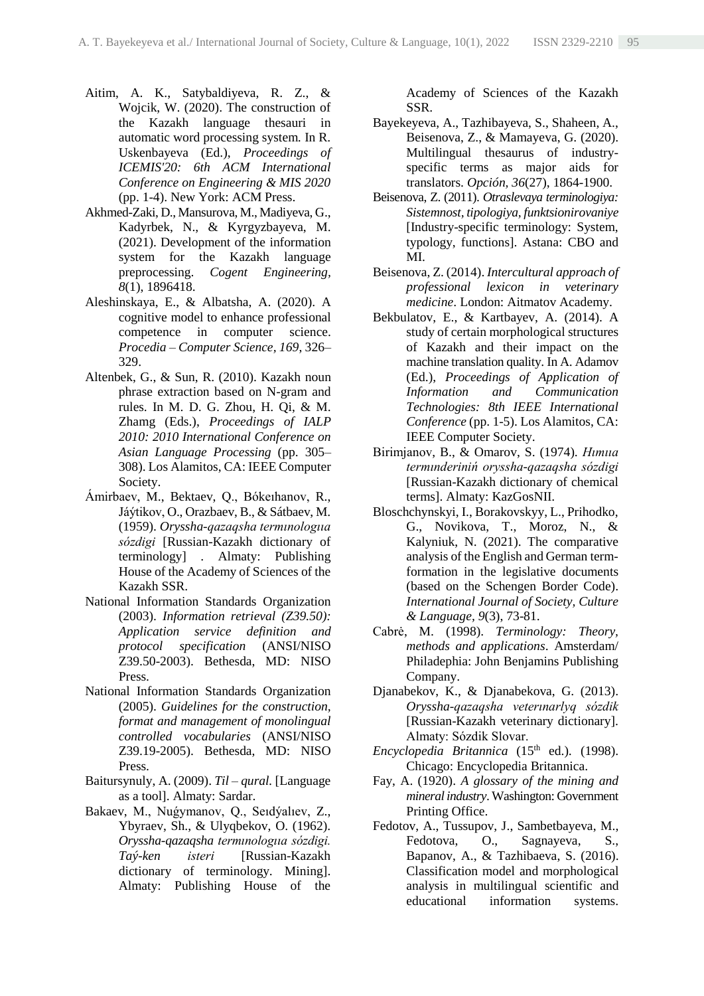- Aitim, A. K., Satybaldiyeva, R. Z., & Wojcik, W. (2020). The construction of the Kazakh language thesauri in automatic word processing system*.* In R. Uskenbayeva (Ed.), *Proceedings of ICEMIS'20: 6th ACM International Conference on Engineering & MIS 2020* (pp. 1-4). New York: ACM Press.
- Akhmed-Zaki, D., Mansurova, M., Madiyeva, G., Kadyrbek, N., & Kyrgyzbayeva, M. (2021). Development of the information system for the Kazakh language preprocessing. *Cogent Engineering, 8*(1), 1896418.
- Aleshinskaya, E., & Albatsha, A. (2020). A cognitive model to enhance professional competence in computer science. *Procedia – Computer Science, 169*, 326– 329.
- Altenbek, G., & Sun, R. (2010). Kazakh noun phrase extraction based on N-gram and rules. In M. D. G. Zhou, H. Qi, & M. Zhamg (Eds.), *Proceedings of IALP 2010: 2010 International Conference on Asian Language Processing* (pp. 305– 308). Los Alamitos, CA: IEEE Computer Society.
- Ámіrbaev, M., Bektaev, Q., Bókeıhanov, R., Jáýtіkov, O., Orazbaev, B., & Sátbaev, M. (1959). *Oryssha-qazaqsha termınologııa sózdіgі* [Russian-Kazakh dictionary of terminology] . Almaty: Publishing House of the Academy of Sciences of the Kazakh SSR.
- National Information Standards Organization (2003). *Information retrieval (Z39.50): Application service definition and protocol specification* (ANSI/NISO Z39.50-2003). Bethesda, MD: NISO Press.
- National Information Standards Organization (2005). *Guidelines for the construction, format and management of monolingual controlled vocabularies* (ANSI/NISO Z39.19-2005). Bethesda, MD: NISO Press.
- Baitursynuly, A. (2009). *Til – qural.* [Language as a tool]. Almaty: Sardar.
- Bakaev, M., Nuǵymanov, Q., Seıdýalıev, Z., Ybyraev, Sh., & Ulyqbekov, O. (1962). *Oryssha-qazaqsha termınologııa sózdіgі. Taý-ken іsterі* [Russian-Kazakh dictionary of terminology. Mining]. Almaty: Publishing House of the

Academy of Sciences of the Kazakh SSR.

- Bayekeyeva, A., Tazhibayeva, S., Shaheen, A., Beisenova, Z., & Mamayeva, G. (2020). Multilingual thesaurus of industryspecific terms as major aids for translators. *Opción, 36*(27), 1864-1900.
- Beisenova, Z. (2011). *Otraslevaya terminologiya: Sistemnost, tipologiya, funktsionirovaniye* [Industry-specific terminology: System, typology, functions]. Astana: CBO and MI.
- Beisenova, Z. (2014). *Intercultural approach of professional lexicon in veterinary medicine*. London: Aitmatov Academy.
- Bekbulatov, E., & Kartbayev, A. (2014). A study of certain morphological structures of Kazakh and their impact on the machine translation quality. In A. Adamov (Ed.), *Proceedings of Application of Information and Communication Technologies: 8th IEEE International Conference* (pp. 1-5). Los Alamitos, CA: IEEE Computer Society.
- Bіrіmjanov, B., & Omarov, S. (1974). *Hımııa termınderіnіń oryssha-qazaqsha sózdіgі* [Russian-Kazakh dictionary of chemical terms]. Almaty: KazGosNII.
- Bloschchynskyi, I., Borakovskyy, L., Prihodko, G., Novikova, T., Moroz, N., & Kalyniuk, N. (2021). The comparative analysis of the English and German termformation in the legislative documents (based on the Schengen Border Code). *International Journal of Society, Culture & Language, 9*(3), 73-81.
- Cabrė, M. (1998). *Terminology: Theory, methods and applications*. Amsterdam/ Philadephia: John Benjamins Publishing Company.
- Djanabekov, K., & Djanabekova, G. (2013). *Oryssha-qazaqsha veterınarlyq sózdіk* [Russian-Kazakh veterinary dictionary]. Almaty: Sózdіk Slovar.
- *Encyclopedia Britannica* (15<sup>th</sup> ed.). (1998). Chicago: Encyclopedia Britannica.
- Fay, A. (1920). *A glossary of the mining and mineral industry*. Washington: Government Printing Office.
- Fedotov, A., Tussupov, J., Sambetbayeva, M., Fedotova, O., Sagnayeva, S., Bapanov, A., & Tazhibaeva, S. (2016). Classification model and morphological analysis in multilingual scientific and educational information systems.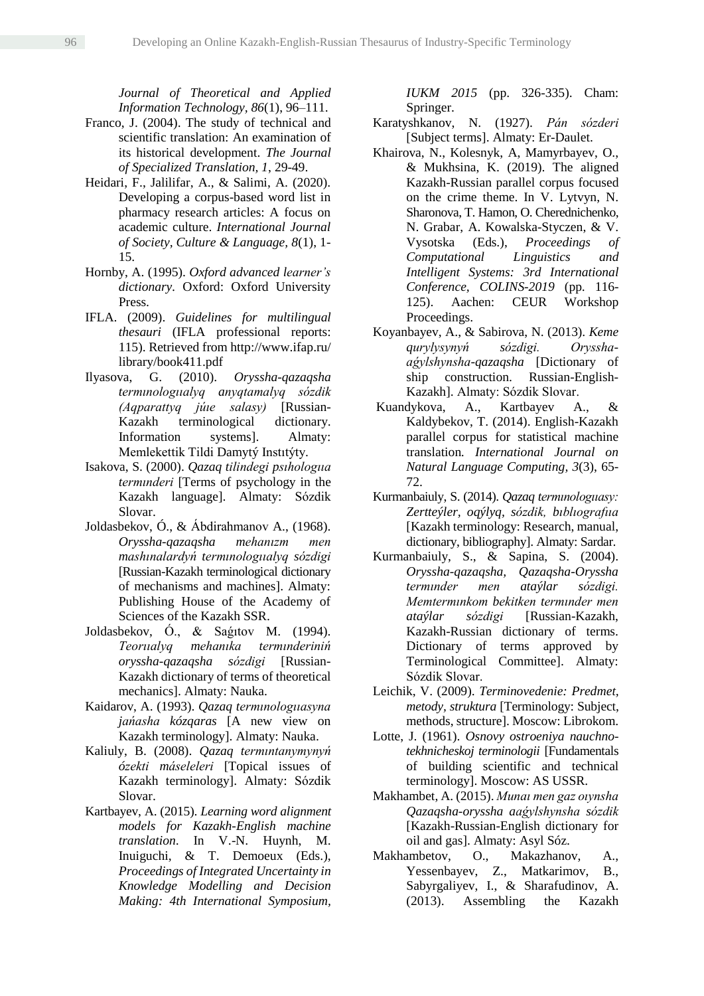*Journal of Theoretical and Applied Information Technology, 86*(1), 96–111.

- Franco, J. (2004). The study of technical and scientific translation: An examination of its historical development. *The Journal of Specialized Translation, 1*, 29-49.
- Heidari, F., Jalilifar, A., & Salimi, A. (2020). Developing a corpus-based word list in pharmacy research articles: A focus on academic culture. *International Journal of Society, Culture & Language, 8*(1), 1- 15.
- Hornby, A. (1995). *Oxford advanced learner's dictionary.* Oxford: Oxford University Press.
- IFLA. (2009). *Guidelines for multilingual thesauri* (IFLA professional reports: 115). Retrieved from http://www.ifap.ru/ library/book411.pdf
- Ilyasova, G. (2010). *Oryssha-qazaqsha termınologııalyq anyqtamalyq sózdіk (Aqparattyq júıe salasy)* [Russian-Kazakh terminological dictionary. Information systems]. Almaty: Memlekettіk Tіldі Damytý Instıtýty.
- Isakova, S. (2000). *Qazaq tіlіndegі psıhologııa termınderі* [Terms of psychology in the Kazakh language]. Almaty: Sózdіk Slovar.
- Joldasbekov, Ó., & Ábdіrahmanov A., (1968). *Oryssha-qazaqsha mehanızm men mashınalardyń termınologııalyq sózdіgі* [Russian-Kazakh terminological dictionary of mechanisms and machines]. Almaty: Publishing House of the Academy of Sciences of the Kazakh SSR.
- Joldasbekov, Ó., & Saǵıtov M. (1994). *Teorııalyq mehanıka termınderіnіń oryssha-qazaqsha sózdіgі* [Russian-Kazakh dictionary of terms of theoretical mechanics]. Almaty: Nauka.
- Kaidarov, A. (1993). *Qazaq termınologııasyna jańasha kózqaras* [A new view on Kazakh terminology]. Almaty: Nauka.
- Kaliuly, B. (2008). *Qazaq termıntanymynyń ózektі máselelerі* [Topical issues of Kazakh terminology]. Almaty: Sózdіk Slovar.
- Kartbayev, A. (2015). *Learning word alignment models for Kazakh-English machine translation*. In V.-N. Huynh, M. Inuiguchi, & T. Demoeux (Eds.), *Proceedings of Integrated Uncertainty in Knowledge Modelling and Decision Making: 4th International Symposium,*

*IUKM 2015* (pp. 326-335). Cham: Springer.

- Karatyshkanov, N. (1927). *Pán sózderі* [Subject terms]. Almaty: Er-Daulet.
- Khairova, N., Kolesnyk, A, Mamyrbayev, O., & Mukhsina, K. (2019). The aligned Kazakh-Russian parallel corpus focused on the crime theme. In V. Lytvyn, N. Sharonova, T. Hamon, O. Cherednichenko, N. Grabar, A. Kowalska-Styczen, & V. Vysotska (Eds.), *Proceedings of Computational Linguistics and Intelligent Systems: 3rd International Conference, COLINS-2019* (pp. 116- 125). Aachen: CEUR Workshop Proceedings.
- Koyanbayev, A., & Sabirova, N. (2013). *Keme qurylysynyń sózdіgі. Orysshaaǵylshynsha-qazaqsha* [Dictionary of ship construction. Russian-English-Kazakh]. Almaty: Sózdіk Slovar.
- [Kuandykova,](https://www.researchgate.net/scientific-contributions/Ayana-Kuandykova-2070228707) A., Kartbayev A., & Kaldybekov, T. (2014). English-Kazakh parallel corpus for statistical machine translation*. [International](https://www.researchgate.net/journal/International-Journal-on-Natural-Language-Computing-2319-4111) Journal on Natural Language [Computing,](https://www.researchgate.net/journal/International-Journal-on-Natural-Language-Computing-2319-4111) 3*(3), 65- 72.
- Kurmanbaiuly, S. (2014). *Qazaq termınologııasy: Zertteýler, oqýlyq, sózdіk, bıblıografııa* [Kazakh terminology: Research, manual, dictionary, bibliography]. Almaty: Sardar.
- Kurmanbaiuly, S., & Sapina, S. (2004). *Oryssha-qazaqsha, Qazaqsha-Oryssha termınder men ataýlar sózdіgі. Memtermınkom bekіtken termınder men ataýlar sózdіgі* [Russian-Kazakh, Kazakh-Russian dictionary of terms. Dictionary of terms approved by Terminological Committee]. Almaty: Sózdіk Slovar.
- Leichik, V. (2009). *Terminovedenie: Predmet, metody, struktura* [Terminology: Subject, methods, structure]. Moscow: Librokom.
- Lotte, J. (1961). *Osnovy ostroeniya nauchnotekhnicheskoj terminologii* [Fundamentals of building scientific and technical terminology]. Moscow: AS USSR.
- Makhambet, A. (2015). *Munaı men gaz oıynsha Qazaqsha-oryssha aaǵylshynsha sózdіk* [Kazakh-Russian-English dictionary for oil and gas]. Almaty: Asyl Sóz.
- Makhambetov, O., Makazhanov, A., Yessenbayev, Z., Matkarimov, B., Sabyrgaliyev, I., & Sharafudinov, A. (2013). Assembling the Kazakh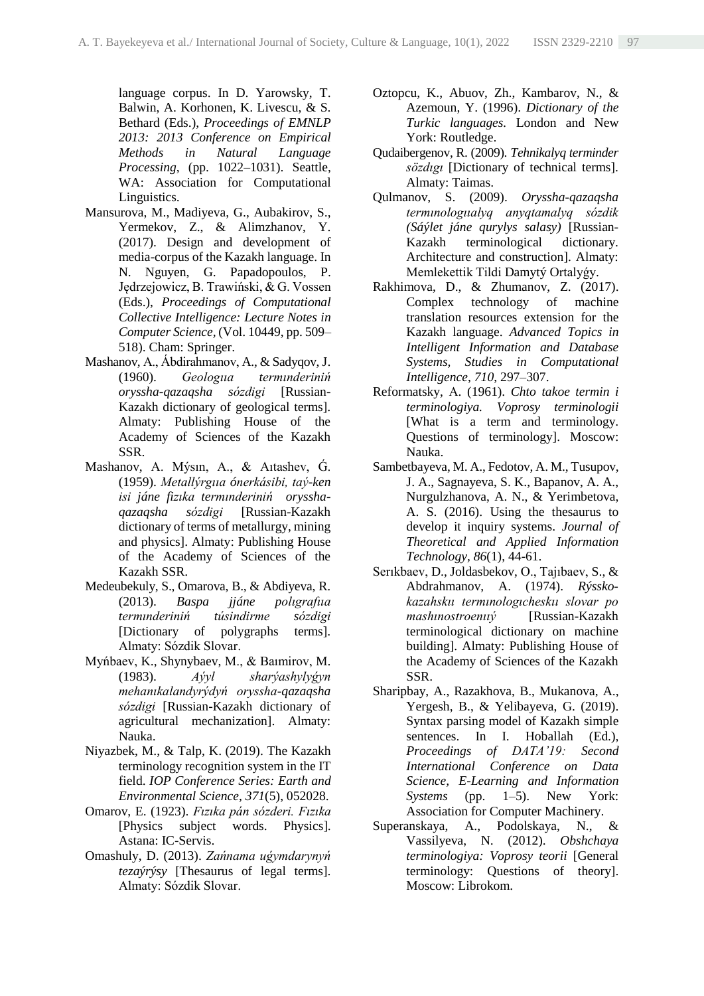language corpus. In D. Yarowsky, T. Balwin, A. Korhonen, K. Livescu, & S. Bethard (Eds.), *Proceedings of EMNLP 2013: 2013 Conference on Empirical Methods in Natural Language Processing*, (pp. 1022–1031). Seattle, WA: Association for Computational Linguistics.

- Mansurova, M., Madiyeva, G., Aubakirov, S., Yermekov, Z., & Alimzhanov, Y. (2017). Design and development of media-corpus of the Kazakh language. In N. Nguyen, G. Papadopoulos, P. Jędrzejowicz, B. Trawiński, & G. Vossen (Eds.), *Proceedings of Computational Collective Intelligence: Lecture Notes in Computer Science,* (Vol. 10449, pp. 509– 518). Cham: Springer.
- Mashanov, A., Ábdіrahmanov, A., & Sadyqov, J. (1960). *Geologııa termınderіnіń oryssha-qazaqsha sózdіgі* [Russian-Kazakh dictionary of geological terms]. Almaty: Publishing House of the Academy of Sciences of the Kazakh SSR.
- Mashanov, A. Mýsin, A., & Aitashev, G. (1959). *Metallýrgııa ónerkásіbі, taý-ken іsі jáne fizıka termınderіnіń orysshaqazaqsha sózdіgі* [Russian-Kazakh dictionary of terms of metallurgy, mining and physics]. Almaty: Publishing House of the Academy of Sciences of the Kazakh SSR.
- Medeubekuly, S., Omarova, B., & Abdiyeva, R. (2013). *Baspa jjáne polıgrafııa termınderіnіń túsіndіrme sózdіgі*  [Dictionary of polygraphs terms]. Almaty: Sózdіk Slovar.
- Myńbaev, K., Shynybaev, M., & Baımіrov, M. (1983). *Aýyl sharýashylyǵyn mehanıkalandyrýdyń oryssha-qazaqsha sózdіgі* [Russian-Kazakh dictionary of agricultural mechanization]. Almaty: Nauka.
- Niyazbek, M., & Talp, K. (2019). The Kazakh terminology recognition system in the IT field. *IOP Conference Series: Earth and Environmental Science, 371*(5), 052028.
- Omarov, E. (1923). *Fızıka pán sózderі. Fızıka* [Physics subject words. Physics]. Astana: IC-Servis.
- Omashuly, D. (2013). *Zańnama uǵymdarynyń tezaýrýsy* [Thesaurus of legal terms]. Almaty: Sózdіk Slovar.
- [Oztopcu,](https://www.routledge.com/search?author=Kurtulus%20Oztopcu) K., [Abuov,](https://www.routledge.com/search?author=Zhoumagaly%20Abouv) Zh., [Kambarov,](https://www.routledge.com/search?author=Nasir%20Kambarov) N., & [Azemoun,](https://www.routledge.com/search?author=Youssef%20Azemoun) Y. (1996). *Dictionary of the Turkic languages.* London and New York: Routledge.
- Qudaibergenov, R. (2009). *Tehnikalyq terminder sözdıgı* [Dictionary of technical terms]. Almaty: Taimas.
- Qulmanov, S. (2009). *Oryssha-qazaqsha termınologııalyq anyqtamalyq sózdіk (Sáýlet jáne qurylys salasy)* [Russian-Kazakh terminological dictionary. Architecture and construction]. Almaty: Memlekettіk Tіldі Damytý Ortalyǵy.
- Rakhimova, D., & Zhumanov, Z. (2017). Complex technology of machine translation resources extension for the Kazakh language. *Advanced Topics in Intelligent Information and Database Systems, Studies in Computational Intelligence*, *710*, 297–307.
- Reformatsky, А. (1961). *Chto takoe termin i terminologiya. Voprosy terminologii* [What is a term and terminology. Questions of terminology]. Moscow: Nauka.
- Sambetbayeva, M. A., Fedotov, A. M., Tusupov, J. A., Sagnayeva, S. K., Bapanov, A. A., Nurgulzhanova, A. N., & Yerimbetova, A. S. (2016). Using the thesaurus to develop it inquiry systems. *Journal of Theoretical and Applied Information Technology, 86*(1), 44-61.
- Serıkbaev, D., Joldasbekov, O., Tajıbaev, S., & Abdrahmanov, A. (1974). *Rýsskokazahskıı termınologıcheskıı slovar po mashınostroenııý* [Russian-Kazakh terminological dictionary on machine building]. Almaty: Publishing House of the Academy of Sciences of the Kazakh SSR.
- Sharipbay, A., Razakhova, B., Mukanova, A., Yergesh, B., & Yelibayeva, G. (2019). Syntax parsing model of Kazakh simple sentences. In I. Hoballah (Ed.), *Proceedings of DATA'19: Second International Conference on Data Science, E-Learning and Information Systems* (pp. 1–5). New York: Association for Computer Machinery.
- Superanskaya, A., Podolskaya, N., & Vassilyeva, N. (2012). *Obshchaya terminologiya: Voprosy teorii* [General terminology: Questions of theory]. Moscow: Librokom.